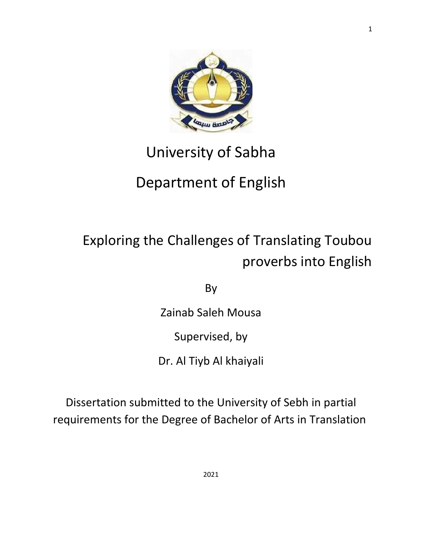

## University of Sabha

## Department of English

# Exploring the Challenges of Translating Toubou proverbs into English

By

Zainab Saleh Mousa

Supervised, by

Dr. Al Tiyb Al khaiyali

Dissertation submitted to the University of Sebh in partial requirements for the Degree of Bachelor of Arts in Translation

1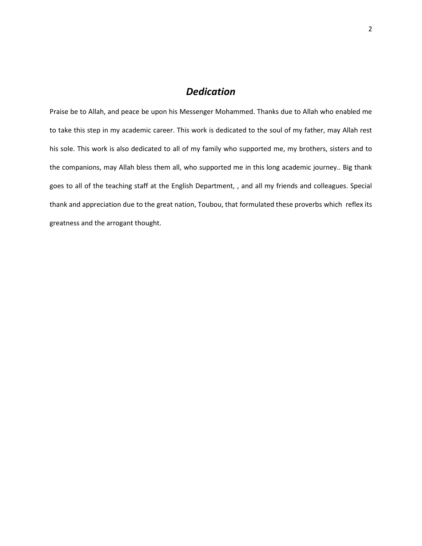## *Dedication*

Praise be to Allah, and peace be upon his Messenger Mohammed. Thanks due to Allah who enabled me to take this step in my academic career. This work is dedicated to the soul of my father, may Allah rest his sole. This work is also dedicated to all of my family who supported me, my brothers, sisters and to the companions, may Allah bless them all, who supported me in this long academic journey.. Big thank goes to all of the teaching staff at the English Department, , and all my friends and colleagues. Special thank and appreciation due to the great nation, Toubou, that formulated these proverbs which reflex its greatness and the arrogant thought.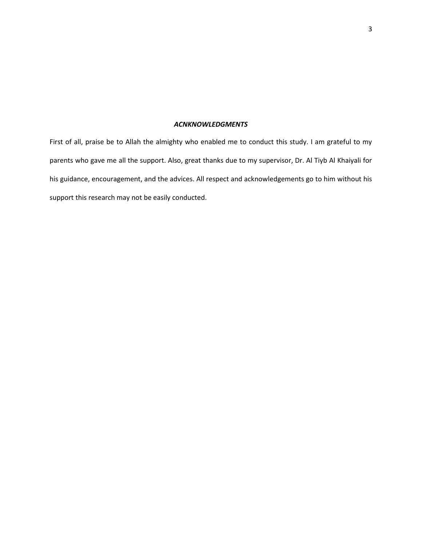#### *ACNKNOWLEDGMENTS*

First of all, praise be to Allah the almighty who enabled me to conduct this study. I am grateful to my parents who gave me all the support. Also, great thanks due to my supervisor, Dr. Al Tiyb Al Khaiyali for his guidance, encouragement, and the advices. All respect and acknowledgements go to him without his support this research may not be easily conducted.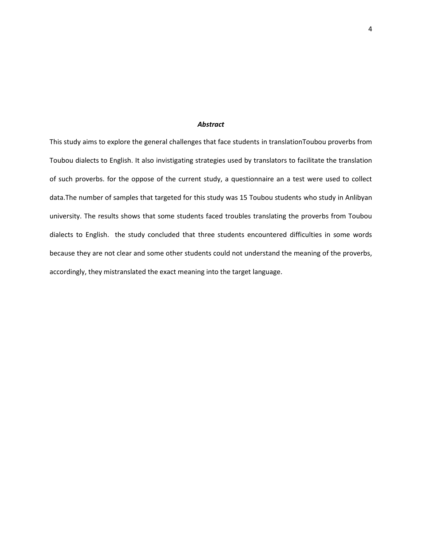#### *Abstract*

This study aims to explore the general challenges that face students in translationToubou proverbs from Toubou dialects to English. It also invistigating strategies used by translators to facilitate the translation of such proverbs. for the oppose of the current study, a questionnaire an a test were used to collect data.The number of samples that targeted for this study was 15 Toubou students who study in Anlibyan university. The results shows that some students faced troubles translating the proverbs from Toubou dialects to English. the study concluded that three students encountered difficulties in some words because they are not clear and some other students could not understand the meaning of the proverbs, accordingly, they mistranslated the exact meaning into the target language.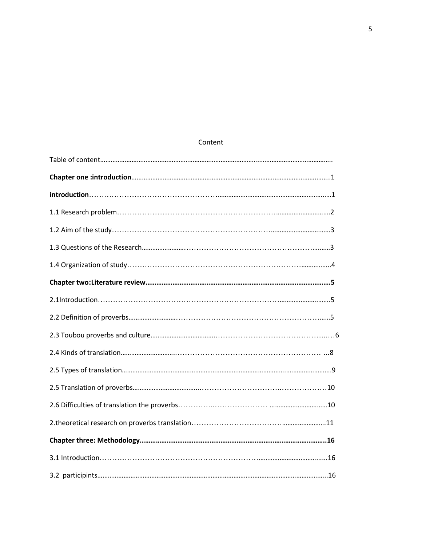## Content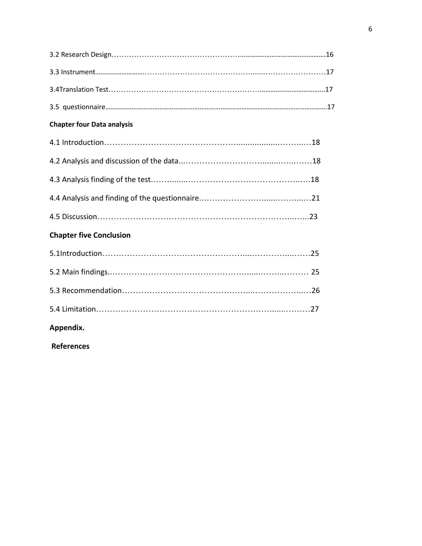| <b>Chapter four Data analysis</b> |
|-----------------------------------|
|                                   |
|                                   |
|                                   |
|                                   |
|                                   |
| <b>Chapter five Conclusion</b>    |
|                                   |
|                                   |
|                                   |
|                                   |
| Appendix.                         |

**References**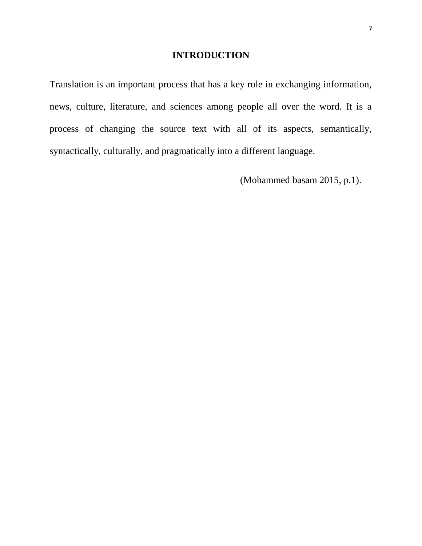## **INTRODUCTION**

Translation is an important process that has a key role in exchanging information, news, culture, literature, and sciences among people all over the word. It is a process of changing the source text with all of its aspects, semantically, syntactically, culturally, and pragmatically into a different language.

(Mohammed basam 2015, p.1).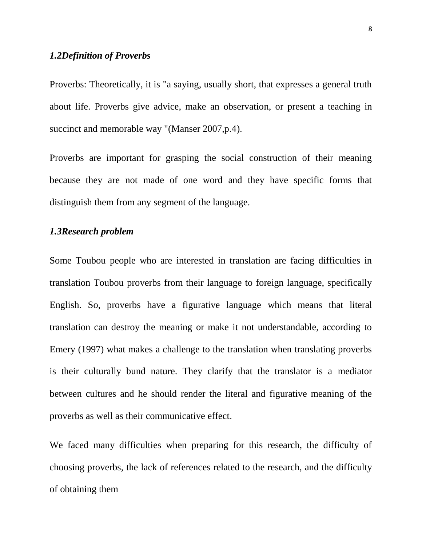#### *1.2Definition of Proverbs*

Proverbs: Theoretically, it is "a saying, usually short, that expresses a general truth about life. Proverbs give advice, make an observation, or present a teaching in succinct and memorable way "(Manser 2007,p.4).

Proverbs are important for grasping the social construction of their meaning because they are not made of one word and they have specific forms that distinguish them from any segment of the language.

#### *1.3Research problem*

Some Toubou people who are interested in translation are facing difficulties in translation Toubou proverbs from their language to foreign language, specifically English. So, proverbs have a figurative language which means that literal translation can destroy the meaning or make it not understandable, according to Emery (1997) what makes a challenge to the translation when translating proverbs is their culturally bund nature. They clarify that the translator is a mediator between cultures and he should render the literal and figurative meaning of the proverbs as well as their communicative effect.

We faced many difficulties when preparing for this research, the difficulty of choosing proverbs, the lack of references related to the research, and the difficulty of obtaining them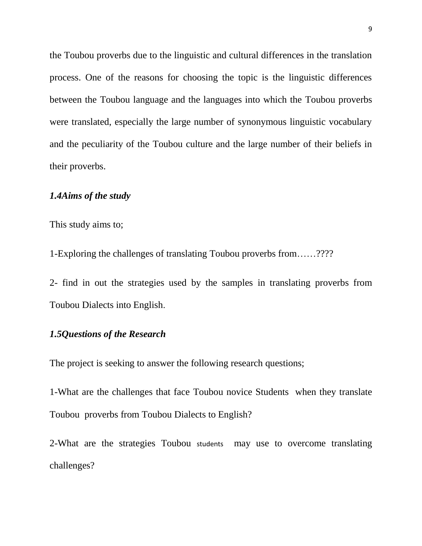the Toubou proverbs due to the linguistic and cultural differences in the translation process. One of the reasons for choosing the topic is the linguistic differences between the Toubou language and the languages into which the Toubou proverbs were translated, especially the large number of synonymous linguistic vocabulary and the peculiarity of the Toubou culture and the large number of their beliefs in their proverbs.

## *1.4Aims of the study*

This study aims to;

1-Exploring the challenges of translating Toubou proverbs from……????

2- find in out the strategies used by the samples in translating proverbs from Toubou Dialects into English.

#### *1.5Questions of the Research*

The project is seeking to answer the following research questions;

1-What are the challenges that face Toubou novice Students when they translate Toubou proverbs from Toubou Dialects to English?

2-What are the strategies Toubou students may use to overcome translating challenges?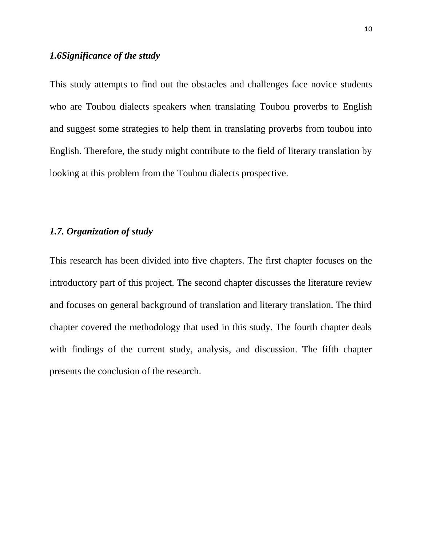## *1.6Significance of the study*

This study attempts to find out the obstacles and challenges face novice students who are Toubou dialects speakers when translating Toubou proverbs to English and suggest some strategies to help them in translating proverbs from toubou into English. Therefore, the study might contribute to the field of literary translation by looking at this problem from the Toubou dialects prospective.

#### *1.7. Organization of study*

This research has been divided into five chapters. The first chapter focuses on the introductory part of this project. The second chapter discusses the literature review and focuses on general background of translation and literary translation. The third chapter covered the methodology that used in this study. The fourth chapter deals with findings of the current study, analysis, and discussion. The fifth chapter presents the conclusion of the research.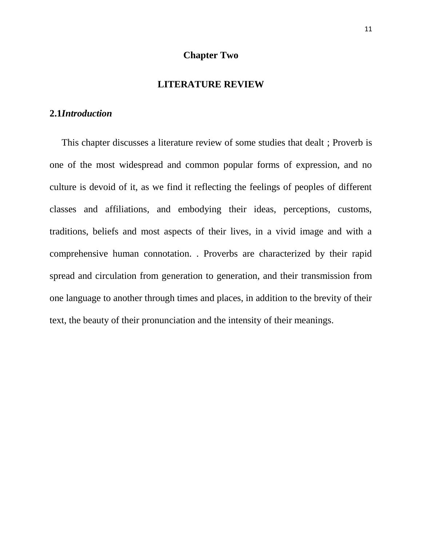#### **Chapter Two**

#### **LITERATURE REVIEW**

#### **2.1***Introduction*

 This chapter discusses a literature review of some studies that dealt ; Proverb is one of the most widespread and common popular forms of expression, and no culture is devoid of it, as we find it reflecting the feelings of peoples of different classes and affiliations, and embodying their ideas, perceptions, customs, traditions, beliefs and most aspects of their lives, in a vivid image and with a comprehensive human connotation. . Proverbs are characterized by their rapid spread and circulation from generation to generation, and their transmission from one language to another through times and places, in addition to the brevity of their text, the beauty of their pronunciation and the intensity of their meanings.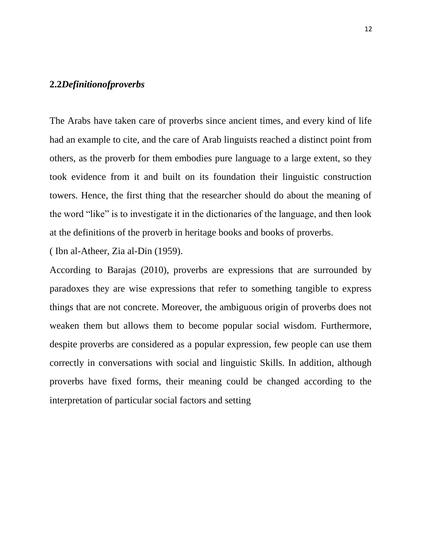#### **2.2***Definitionofproverbs*

The Arabs have taken care of proverbs since ancient times, and every kind of life had an example to cite, and the care of Arab linguists reached a distinct point from others, as the proverb for them embodies pure language to a large extent, so they took evidence from it and built on its foundation their linguistic construction towers. Hence, the first thing that the researcher should do about the meaning of the word "like" is to investigate it in the dictionaries of the language, and then look at the definitions of the proverb in heritage books and books of proverbs.

( Ibn al-Atheer, Zia al-Din (1959).

According to Barajas (2010), proverbs are expressions that are surrounded by paradoxes they are wise expressions that refer to something tangible to express things that are not concrete. Moreover, the ambiguous origin of proverbs does not weaken them but allows them to become popular social wisdom. Furthermore, despite proverbs are considered as a popular expression, few people can use them correctly in conversations with social and linguistic Skills. In addition, although proverbs have fixed forms, their meaning could be changed according to the interpretation of particular social factors and setting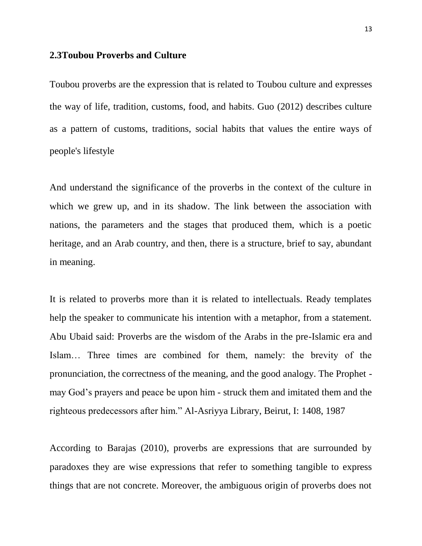#### **2.3Toubou Proverbs and Culture**

Toubou proverbs are the expression that is related to Toubou culture and expresses the way of life, tradition, customs, food, and habits. Guo (2012) describes culture as a pattern of customs, traditions, social habits that values the entire ways of people's lifestyle

And understand the significance of the proverbs in the context of the culture in which we grew up, and in its shadow. The link between the association with nations, the parameters and the stages that produced them, which is a poetic heritage, and an Arab country, and then, there is a structure, brief to say, abundant in meaning.

It is related to proverbs more than it is related to intellectuals. Ready templates help the speaker to communicate his intention with a metaphor, from a statement. Abu Ubaid said: Proverbs are the wisdom of the Arabs in the pre-Islamic era and Islam… Three times are combined for them, namely: the brevity of the pronunciation, the correctness of the meaning, and the good analogy. The Prophet may God's prayers and peace be upon him - struck them and imitated them and the righteous predecessors after him." Al-Asriyya Library, Beirut, I: 1408, 1987

According to Barajas (2010), proverbs are expressions that are surrounded by paradoxes they are wise expressions that refer to something tangible to express things that are not concrete. Moreover, the ambiguous origin of proverbs does not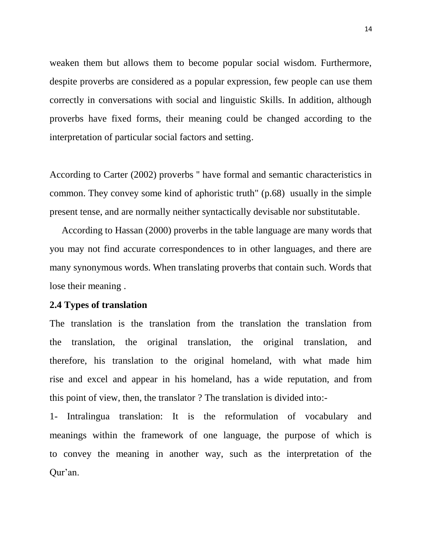weaken them but allows them to become popular social wisdom. Furthermore, despite proverbs are considered as a popular expression, few people can use them correctly in conversations with social and linguistic Skills. In addition, although proverbs have fixed forms, their meaning could be changed according to the interpretation of particular social factors and setting.

According to Carter (2002) proverbs '' have formal and semantic characteristics in common. They convey some kind of aphoristic truth" (p.68) usually in the simple present tense, and are normally neither syntactically devisable nor substitutable.

 According to Hassan (2000) proverbs in the table language are many words that you may not find accurate correspondences to in other languages, and there are many synonymous words. When translating proverbs that contain such. Words that lose their meaning .

#### **2.4 Types of translation**

The translation is the translation from the translation the translation from the translation, the original translation, the original translation, and therefore, his translation to the original homeland, with what made him rise and excel and appear in his homeland, has a wide reputation, and from this point of view, then, the translator ? The translation is divided into:-

1- Intralingua translation: It is the reformulation of vocabulary and meanings within the framework of one language, the purpose of which is to convey the meaning in another way, such as the interpretation of the Qur'an.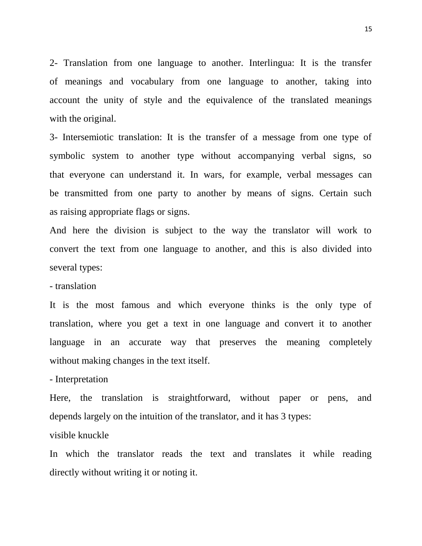2- Translation from one language to another. Interlingua: It is the transfer of meanings and vocabulary from one language to another, taking into account the unity of style and the equivalence of the translated meanings with the original.

3- Intersemiotic translation: It is the transfer of a message from one type of symbolic system to another type without accompanying verbal signs, so that everyone can understand it. In wars, for example, verbal messages can be transmitted from one party to another by means of signs. Certain such as raising appropriate flags or signs.

And here the division is subject to the way the translator will work to convert the text from one language to another, and this is also divided into several types:

- translation

It is the most famous and which everyone thinks is the only type of translation, where you get a text in one language and convert it to another language in an accurate way that preserves the meaning completely without making changes in the text itself.

- Interpretation

Here, the translation is straightforward, without paper or pens, and depends largely on the intuition of the translator, and it has 3 types:

visible knuckle

In which the translator reads the text and translates it while reading directly without writing it or noting it.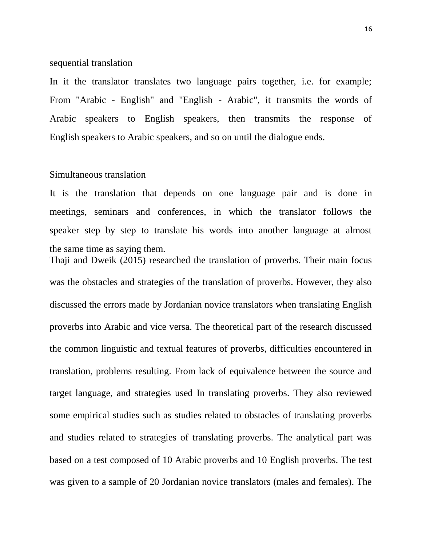#### sequential translation

In it the translator translates two language pairs together, i.e. for example; From "Arabic - English" and "English - Arabic", it transmits the words of Arabic speakers to English speakers, then transmits the response of English speakers to Arabic speakers, and so on until the dialogue ends.

#### Simultaneous translation

It is the translation that depends on one language pair and is done in meetings, seminars and conferences, in which the translator follows the speaker step by step to translate his words into another language at almost the same time as saying them.

Thaji and Dweik (2015) researched the translation of proverbs. Their main focus was the obstacles and strategies of the translation of proverbs. However, they also discussed the errors made by Jordanian novice translators when translating English proverbs into Arabic and vice versa. The theoretical part of the research discussed the common linguistic and textual features of proverbs, difficulties encountered in translation, problems resulting. From lack of equivalence between the source and target language, and strategies used In translating proverbs. They also reviewed some empirical studies such as studies related to obstacles of translating proverbs and studies related to strategies of translating proverbs. The analytical part was based on a test composed of 10 Arabic proverbs and 10 English proverbs. The test was given to a sample of 20 Jordanian novice translators (males and females). The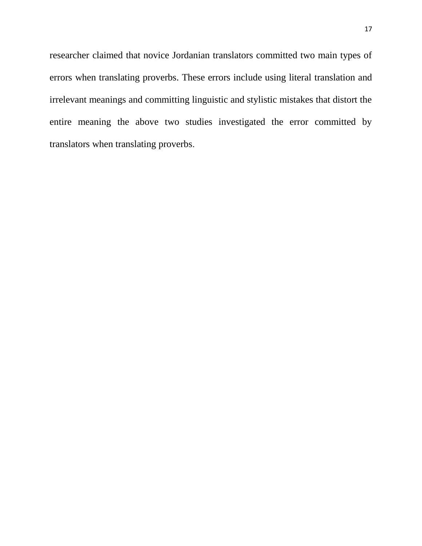researcher claimed that novice Jordanian translators committed two main types of errors when translating proverbs. These errors include using literal translation and irrelevant meanings and committing linguistic and stylistic mistakes that distort the entire meaning the above two studies investigated the error committed by translators when translating proverbs.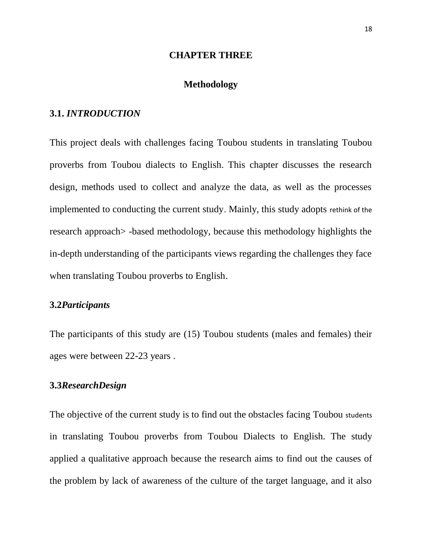#### **CHAPTER THREE**

#### **Methodology**

#### **3.1.** *INTRODUCTION*

This project deals with challenges facing Toubou students in translating Toubou proverbs from Toubou dialects to English. This chapter discusses the research design, methods used to collect and analyze the data, as well as the processes implemented to conducting the current study. Mainly, this study adopts rethink of the research approach> -based methodology, because this methodology highlights the in-depth understanding of the participants views regarding the challenges they face when translating Toubou proverbs to English.

#### **3.2***Participants*

The participants of this study are (15) Toubou students (males and females) their ages were between 22-23 years .

#### **3.3***ResearchDesign*

The objective of the current study is to find out the obstacles facing Toubou students in translating Toubou proverbs from Toubou Dialects to English. The study applied a qualitative approach because the research aims to find out the causes of the problem by lack of awareness of the culture of the target language, and it also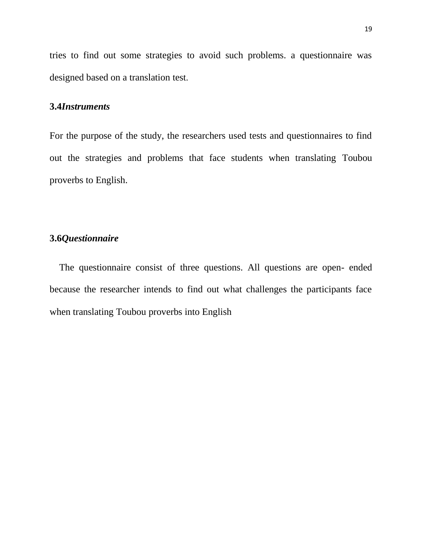tries to find out some strategies to avoid such problems. a questionnaire was designed based on a translation test.

#### **3.4***Instruments*

For the purpose of the study, the researchers used tests and questionnaires to find out the strategies and problems that face students when translating Toubou proverbs to English.

## **3.6***Questionnaire*

 The questionnaire consist of three questions. All questions are open- ended because the researcher intends to find out what challenges the participants face when translating Toubou proverbs into English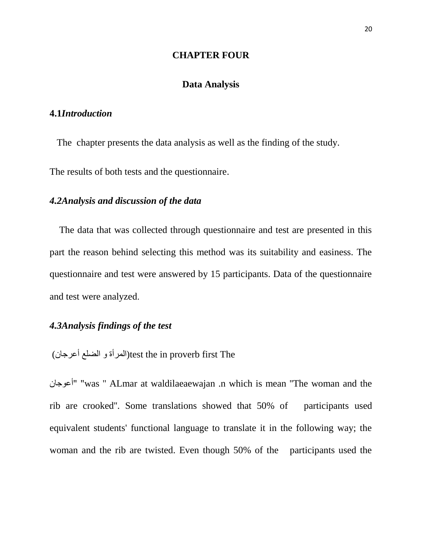#### **CHAPTER FOUR**

#### **Data Analysis**

#### **4.1***Introduction*

 The chapter presents the data analysis as well as the finding of the study. The results of both tests and the questionnaire.

#### *4.2Analysis and discussion of the data*

 The data that was collected through questionnaire and test are presented in this part the reason behind selecting this method was its suitability and easiness. The questionnaire and test were answered by 15 participants. Data of the questionnaire and test were analyzed.

## *4.3Analysis findings of the test*

(المرأة و الضلع أعرجان)test the in proverb first The

أعوجان" "was '' ALmar at waldilaeaewajan .n which is mean ''The woman and the rib are crooked''. Some translations showed that 50% of participants used equivalent students' functional language to translate it in the following way; the woman and the rib are twisted. Even though 50% of the participants used the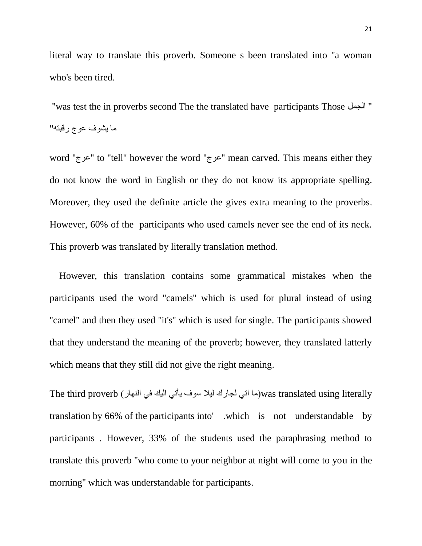literal way to translate this proverb. Someone s been translated into ''a woman who's been tired.

 ''was test the in proverbs second The the translated have participants Those الجمل" ما يشوف عوج رقبته"

word ''عوج ''to ''tell'' however the word ''عوج ''mean carved. This means either they do not know the word in English or they do not know its appropriate spelling. Moreover, they used the definite article the gives extra meaning to the proverbs. However, 60% of the participants who used camels never see the end of its neck. This proverb was translated by literally translation method.

 However, this translation contains some grammatical mistakes when the participants used the word ''camels'' which is used for plural instead of using "camel" and then they used "it's" which is used for single. The participants showed that they understand the meaning of the proverb; however, they translated latterly which means that they still did not give the right meaning.

The third proverb (ما اتي لجارك ليلا سوف يأتي اليك في النهار) was translated using literally translation by 66% of the participants into' .which is not understandable by participants . However, 33% of the students used the paraphrasing method to translate this proverb ''who come to your neighbor at night will come to you in the morning'' which was understandable for participants.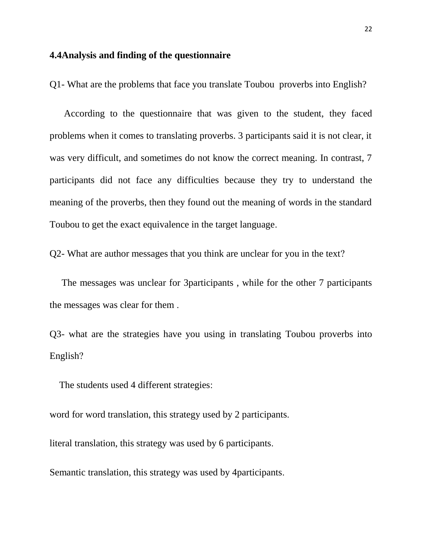#### **4.4Analysis and finding of the questionnaire**

Q1- What are the problems that face you translate Toubou proverbs into English?

 According to the questionnaire that was given to the student, they faced problems when it comes to translating proverbs. 3 participants said it is not clear, it was very difficult, and sometimes do not know the correct meaning. In contrast, 7 participants did not face any difficulties because they try to understand the meaning of the proverbs, then they found out the meaning of words in the standard Toubou to get the exact equivalence in the target language.

Q2- What are author messages that you think are unclear for you in the text?

 The messages was unclear for 3participants , while for the other 7 participants the messages was clear for them .

Q3- what are the strategies have you using in translating Toubou proverbs into English?

The students used 4 different strategies:

word for word translation, this strategy used by 2 participants.

literal translation, this strategy was used by 6 participants.

Semantic translation, this strategy was used by 4participants.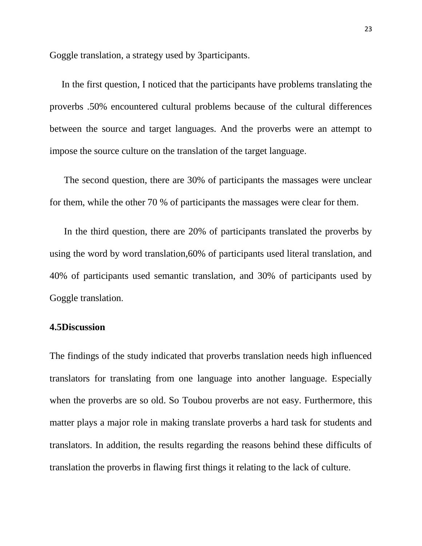Goggle translation, a strategy used by 3participants.

 In the first question, I noticed that the participants have problems translating the proverbs .50% encountered cultural problems because of the cultural differences between the source and target languages. And the proverbs were an attempt to impose the source culture on the translation of the target language.

 The second question, there are 30% of participants the massages were unclear for them, while the other 70 % of participants the massages were clear for them.

 In the third question, there are 20% of participants translated the proverbs by using the word by word translation,60% of participants used literal translation, and 40% of participants used semantic translation, and 30% of participants used by Goggle translation.

#### **4.5Discussion**

The findings of the study indicated that proverbs translation needs high influenced translators for translating from one language into another language. Especially when the proverbs are so old. So Toubou proverbs are not easy. Furthermore, this matter plays a major role in making translate proverbs a hard task for students and translators. In addition, the results regarding the reasons behind these difficults of translation the proverbs in flawing first things it relating to the lack of culture.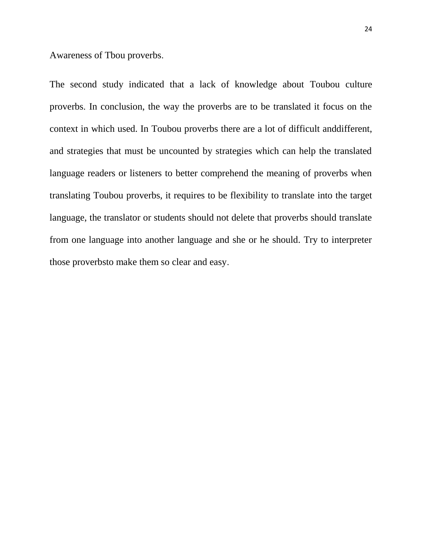Awareness of Tbou proverbs.

The second study indicated that a lack of knowledge about Toubou culture proverbs. In conclusion, the way the proverbs are to be translated it focus on the context in which used. In Toubou proverbs there are a lot of difficult anddifferent, and strategies that must be uncounted by strategies which can help the translated language readers or listeners to better comprehend the meaning of proverbs when translating Toubou proverbs, it requires to be flexibility to translate into the target language, the translator or students should not delete that proverbs should translate from one language into another language and she or he should. Try to interpreter those proverbsto make them so clear and easy.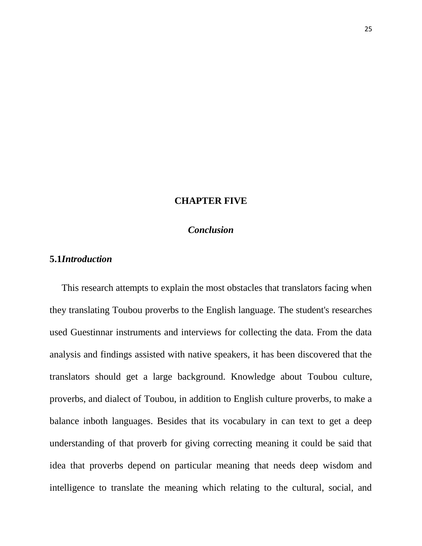#### **CHAPTER FIVE**

#### *Conclusion*

#### **5.1***Introduction*

 This research attempts to explain the most obstacles that translators facing when they translating Toubou proverbs to the English language. The student's researches used Guestinnar instruments and interviews for collecting the data. From the data analysis and findings assisted with native speakers, it has been discovered that the translators should get a large background. Knowledge about Toubou culture, proverbs, and dialect of Toubou, in addition to English culture proverbs, to make a balance inboth languages. Besides that its vocabulary in can text to get a deep understanding of that proverb for giving correcting meaning it could be said that idea that proverbs depend on particular meaning that needs deep wisdom and intelligence to translate the meaning which relating to the cultural, social, and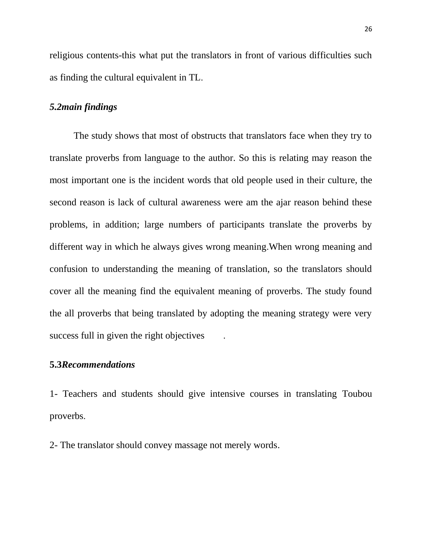religious contents-this what put the translators in front of various difficulties such as finding the cultural equivalent in TL.

#### *5.2main findings*

 The study shows that most of obstructs that translators face when they try to translate proverbs from language to the author. So this is relating may reason the most important one is the incident words that old people used in their culture, the second reason is lack of cultural awareness were am the ajar reason behind these problems, in addition; large numbers of participants translate the proverbs by different way in which he always gives wrong meaning.When wrong meaning and confusion to understanding the meaning of translation, so the translators should cover all the meaning find the equivalent meaning of proverbs. The study found the all proverbs that being translated by adopting the meaning strategy were very success full in given the right objectives .

#### **5.3***Recommendations*

1- Teachers and students should give intensive courses in translating Toubou proverbs.

2- The translator should convey massage not merely words.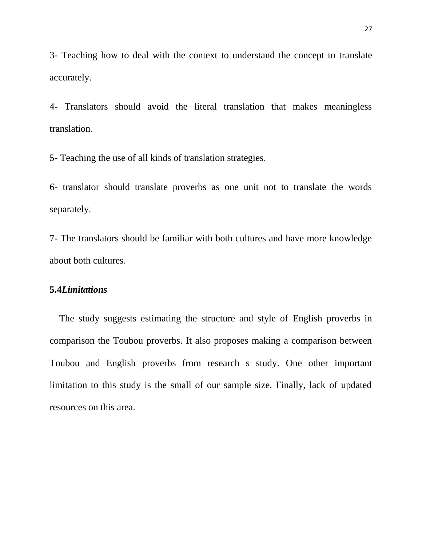3- Teaching how to deal with the context to understand the concept to translate accurately.

4- Translators should avoid the literal translation that makes meaningless translation.

5- Teaching the use of all kinds of translation strategies.

6- translator should translate proverbs as one unit not to translate the words separately.

7- The translators should be familiar with both cultures and have more knowledge about both cultures.

#### **5.4***Limitations*

 The study suggests estimating the structure and style of English proverbs in comparison the Toubou proverbs. It also proposes making a comparison between Toubou and English proverbs from research s study. One other important limitation to this study is the small of our sample size. Finally, lack of updated resources on this area.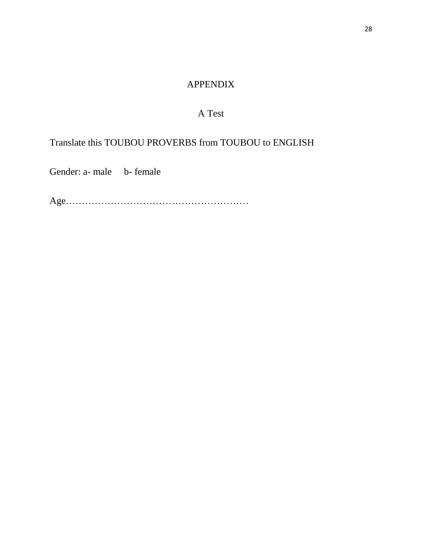## APPENDIX

## A Test

Translate this TOUBOU PROVERBS from TOUBOU to ENGLISH

Gender: a- male b- female

Age…………………………………………………